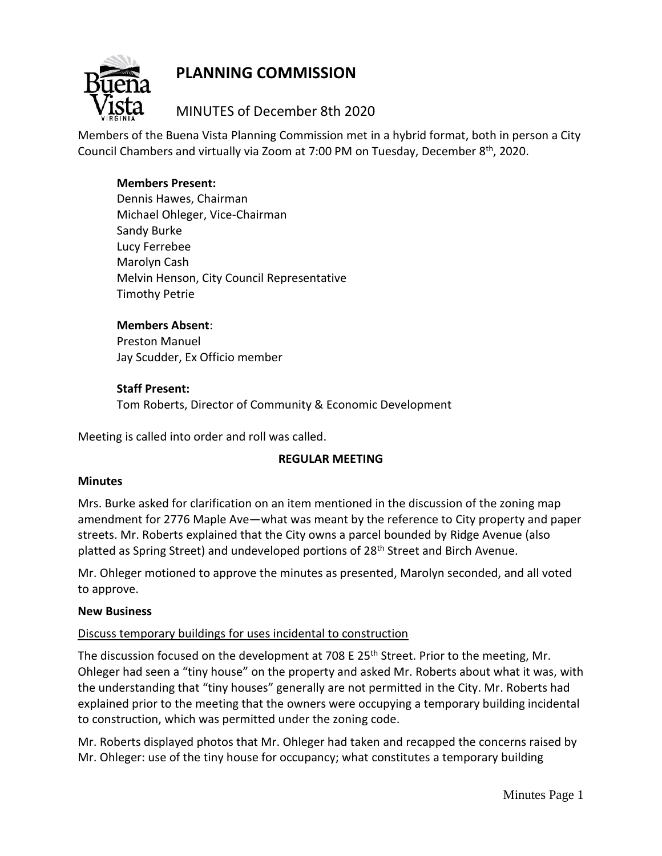# **PLANNING COMMISSION**



# MINUTES of December 8th 2020

Members of the Buena Vista Planning Commission met in a hybrid format, both in person a City Council Chambers and virtually via Zoom at 7:00 PM on Tuesday, December 8<sup>th</sup>, 2020.

# **Members Present:**

Dennis Hawes, Chairman Michael Ohleger, Vice-Chairman Sandy Burke Lucy Ferrebee Marolyn Cash Melvin Henson, City Council Representative Timothy Petrie

# **Members Absent**:

Preston Manuel Jay Scudder, Ex Officio member

# **Staff Present:**

Tom Roberts, Director of Community & Economic Development

Meeting is called into order and roll was called.

# **REGULAR MEETING**

#### **Minutes**

Mrs. Burke asked for clarification on an item mentioned in the discussion of the zoning map amendment for 2776 Maple Ave—what was meant by the reference to City property and paper streets. Mr. Roberts explained that the City owns a parcel bounded by Ridge Avenue (also platted as Spring Street) and undeveloped portions of 28<sup>th</sup> Street and Birch Avenue.

Mr. Ohleger motioned to approve the minutes as presented, Marolyn seconded, and all voted to approve.

#### **New Business**

# Discuss temporary buildings for uses incidental to construction

The discussion focused on the development at 708 E 25<sup>th</sup> Street. Prior to the meeting, Mr. Ohleger had seen a "tiny house" on the property and asked Mr. Roberts about what it was, with the understanding that "tiny houses" generally are not permitted in the City. Mr. Roberts had explained prior to the meeting that the owners were occupying a temporary building incidental to construction, which was permitted under the zoning code.

Mr. Roberts displayed photos that Mr. Ohleger had taken and recapped the concerns raised by Mr. Ohleger: use of the tiny house for occupancy; what constitutes a temporary building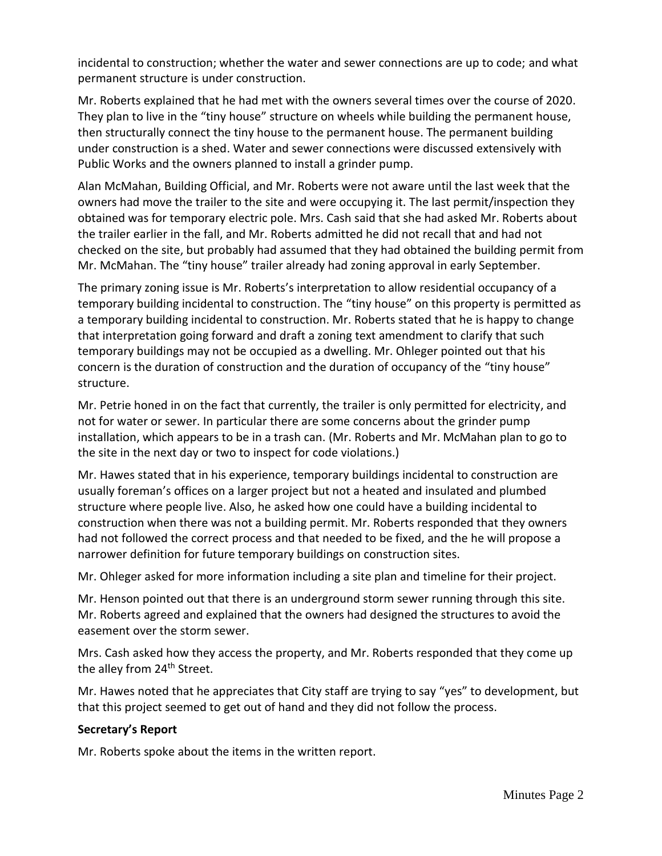incidental to construction; whether the water and sewer connections are up to code; and what permanent structure is under construction.

Mr. Roberts explained that he had met with the owners several times over the course of 2020. They plan to live in the "tiny house" structure on wheels while building the permanent house, then structurally connect the tiny house to the permanent house. The permanent building under construction is a shed. Water and sewer connections were discussed extensively with Public Works and the owners planned to install a grinder pump.

Alan McMahan, Building Official, and Mr. Roberts were not aware until the last week that the owners had move the trailer to the site and were occupying it. The last permit/inspection they obtained was for temporary electric pole. Mrs. Cash said that she had asked Mr. Roberts about the trailer earlier in the fall, and Mr. Roberts admitted he did not recall that and had not checked on the site, but probably had assumed that they had obtained the building permit from Mr. McMahan. The "tiny house" trailer already had zoning approval in early September.

The primary zoning issue is Mr. Roberts's interpretation to allow residential occupancy of a temporary building incidental to construction. The "tiny house" on this property is permitted as a temporary building incidental to construction. Mr. Roberts stated that he is happy to change that interpretation going forward and draft a zoning text amendment to clarify that such temporary buildings may not be occupied as a dwelling. Mr. Ohleger pointed out that his concern is the duration of construction and the duration of occupancy of the "tiny house" structure.

Mr. Petrie honed in on the fact that currently, the trailer is only permitted for electricity, and not for water or sewer. In particular there are some concerns about the grinder pump installation, which appears to be in a trash can. (Mr. Roberts and Mr. McMahan plan to go to the site in the next day or two to inspect for code violations.)

Mr. Hawes stated that in his experience, temporary buildings incidental to construction are usually foreman's offices on a larger project but not a heated and insulated and plumbed structure where people live. Also, he asked how one could have a building incidental to construction when there was not a building permit. Mr. Roberts responded that they owners had not followed the correct process and that needed to be fixed, and the he will propose a narrower definition for future temporary buildings on construction sites.

Mr. Ohleger asked for more information including a site plan and timeline for their project.

Mr. Henson pointed out that there is an underground storm sewer running through this site. Mr. Roberts agreed and explained that the owners had designed the structures to avoid the easement over the storm sewer.

Mrs. Cash asked how they access the property, and Mr. Roberts responded that they come up the alley from 24<sup>th</sup> Street.

Mr. Hawes noted that he appreciates that City staff are trying to say "yes" to development, but that this project seemed to get out of hand and they did not follow the process.

# **Secretary's Report**

Mr. Roberts spoke about the items in the written report.